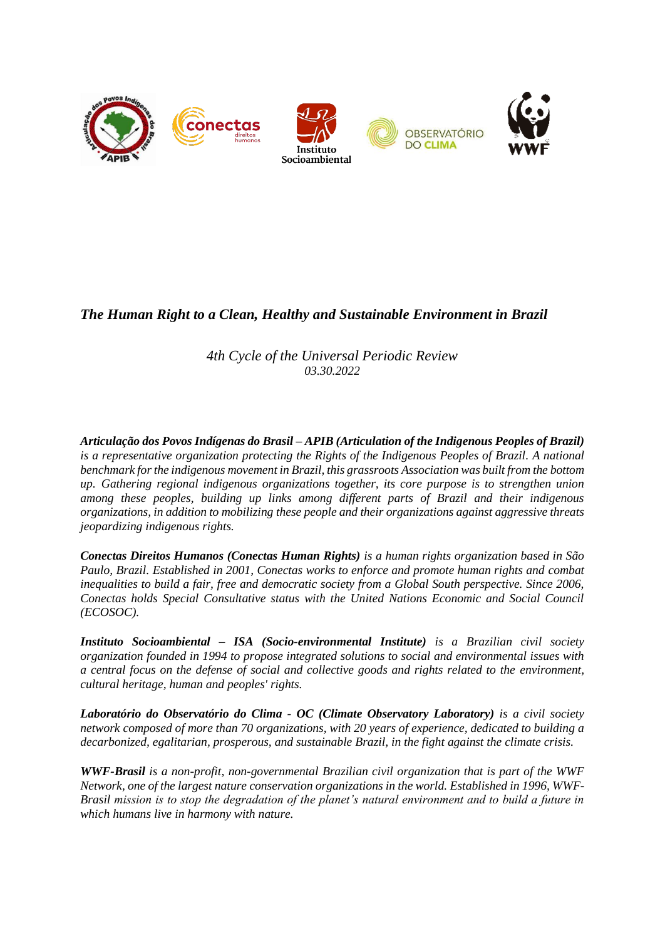

# *The Human Right to a Clean, Healthy and Sustainable Environment in Brazil*

*4th Cycle of the Universal Periodic Review 03.30.2022*

*Articulação dos Povos Indígenas do Brasil – APIB (Articulation of the Indigenous Peoples of Brazil) is a representative organization protecting the Rights of the Indigenous Peoples of Brazil. A national benchmark for the indigenous movement in Brazil, this grassroots Association was built from the bottom up. Gathering regional indigenous organizations together, its core purpose is to strengthen union among these peoples, building up links among different parts of Brazil and their indigenous organizations, in addition to mobilizing these people and their organizations against aggressive threats jeopardizing indigenous rights.*

*Conectas Direitos Humanos (Conectas Human Rights) is a human rights organization based in São Paulo, Brazil. Established in 2001, Conectas works to enforce and promote human rights and combat inequalities to build a fair, free and democratic society from a Global South perspective. Since 2006, Conectas holds Special Consultative status with the United Nations Economic and Social Council (ECOSOC).*

*Instituto Socioambiental – ISA (Socio-environmental Institute) is a Brazilian civil society organization founded in 1994 to propose integrated solutions to social and environmental issues with a central focus on the defense of social and collective goods and rights related to the environment, cultural heritage, human and peoples' rights.*

*Laboratório do Observatório do Clima - OC (Climate Observatory Laboratory) is a civil society network composed of more than 70 organizations, with 20 years of experience, dedicated to building a decarbonized, egalitarian, prosperous, and sustainable Brazil, in the fight against the climate crisis.*

*WWF-Brasil is a non-profit, non-governmental Brazilian civil organization that is part of the WWF Network, one of the largest nature conservation organizations in the world. Established in 1996, WWF-Brasil mission is to stop the degradation of the planet's natural environment and to build a future in which humans live in harmony with nature.*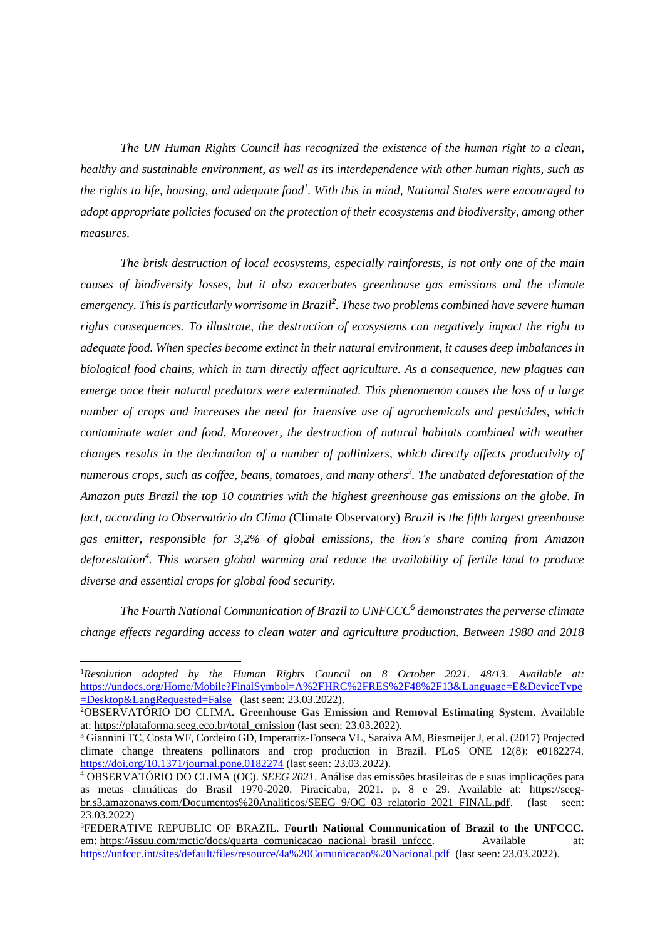*The UN Human Rights Council has recognized the existence of the human right to a clean, healthy and sustainable environment, as well as its interdependence with other human rights, such as the rights to life, housing, and adequate food<sup>1</sup> . With this in mind, National States were encouraged to adopt appropriate policies focused on the protection of their ecosystems and biodiversity, among other measures.*

*The brisk destruction of local ecosystems, especially rainforests, is not only one of the main causes of biodiversity losses, but it also exacerbates greenhouse gas emissions and the climate emergency. This is particularly worrisome in Brazil<sup>2</sup> . These two problems combined have severe human rights consequences. To illustrate, the destruction of ecosystems can negatively impact the right to adequate food. When species become extinct in their natural environment, it causes deep imbalances in biological food chains, which in turn directly affect agriculture. As a consequence, new plagues can emerge once their natural predators were exterminated. This phenomenon causes the loss of a large number of crops and increases the need for intensive use of agrochemicals and pesticides, which contaminate water and food. Moreover, the destruction of natural habitats combined with weather changes results in the decimation of a number of pollinizers, which directly affects productivity of numerous crops, such as coffee, beans, tomatoes, and many others 3 . The unabated deforestation of the Amazon puts Brazil the top 10 countries with the highest greenhouse gas emissions on the globe. In fact, according to Observatório do Clima (*Climate Observatory) *Brazil is the fifth largest greenhouse gas emitter, responsible for 3,2% of global emissions, the lion's share coming from Amazon deforestation<sup>4</sup> . This worsen global warming and reduce the availability of fertile land to produce diverse and essential crops for global food security.* 

*The Fourth National Communication of Brazil to UNFCCC<sup>5</sup> demonstrates the perverse climate change effects regarding access to clean water and agriculture production. Between 1980 and 2018* 

<sup>1</sup>*Resolution adopted by the Human Rights Council on 8 October 2021. 48/13. Available at:*  [https://undocs.org/Home/Mobile?FinalSymbol=A%2FHRC%2FRES%2F48%2F13&Language=E&DeviceType](https://undocs.org/Home/Mobile?FinalSymbol=A%2FHRC%2FRES%2F48%2F13&Language=E&DeviceType=Desktop&LangRequested=False) [=Desktop&LangRequested=False](https://undocs.org/Home/Mobile?FinalSymbol=A%2FHRC%2FRES%2F48%2F13&Language=E&DeviceType=Desktop&LangRequested=False) (last seen: 23.03.2022).

<sup>2</sup>OBSERVATÓRIO DO CLIMA. **Greenhouse Gas Emission and Removal Estimating System**. Available at: [https://plataforma.seeg.eco.br/total\\_emission](https://plataforma.seeg.eco.br/total_emission) (last seen: 23.03.2022).

<sup>3</sup> Giannini TC, Costa WF, Cordeiro GD, Imperatriz-Fonseca VL, Saraiva AM, Biesmeijer J, et al. (2017) Projected climate change threatens pollinators and crop production in Brazil. PLoS ONE 12(8): e0182274. <https://doi.org/10.1371/journal.pone.0182274> (last seen: 23.03.2022).

<sup>4</sup> OBSERVATÓRIO DO CLIMA (OC). *SEEG 2021*. Análise das emissões brasileiras de e suas implicações para as metas climáticas do Brasil 1970-2020. Piracicaba, 2021. p. 8 e 29. Available at: [https://seeg](https://seeg-br.s3.amazonaws.com/Documentos%20Analiticos/SEEG_9/OC_03_relatorio_2021_FINAL.pdf)[br.s3.amazonaws.com/Documentos%20Analiticos/SEEG\\_9/OC\\_03\\_relatorio\\_2021\\_FINAL.pdf.](https://seeg-br.s3.amazonaws.com/Documentos%20Analiticos/SEEG_9/OC_03_relatorio_2021_FINAL.pdf) (last seen: 23.03.2022)

<sup>5</sup>FEDERATIVE REPUBLIC OF BRAZIL. **Fourth National Communication of Brazil to the UNFCCC.**  em: [https://issuu.com/mctic/docs/quarta\\_comunicacao\\_nacional\\_brasil\\_unfccc.](https://issuu.com/mctic/docs/quarta_comunicacao_nacional_brasil_unfccc) Available at: <https://unfccc.int/sites/default/files/resource/4a%20Comunicacao%20Nacional.pdf> (last seen: 23.03.2022).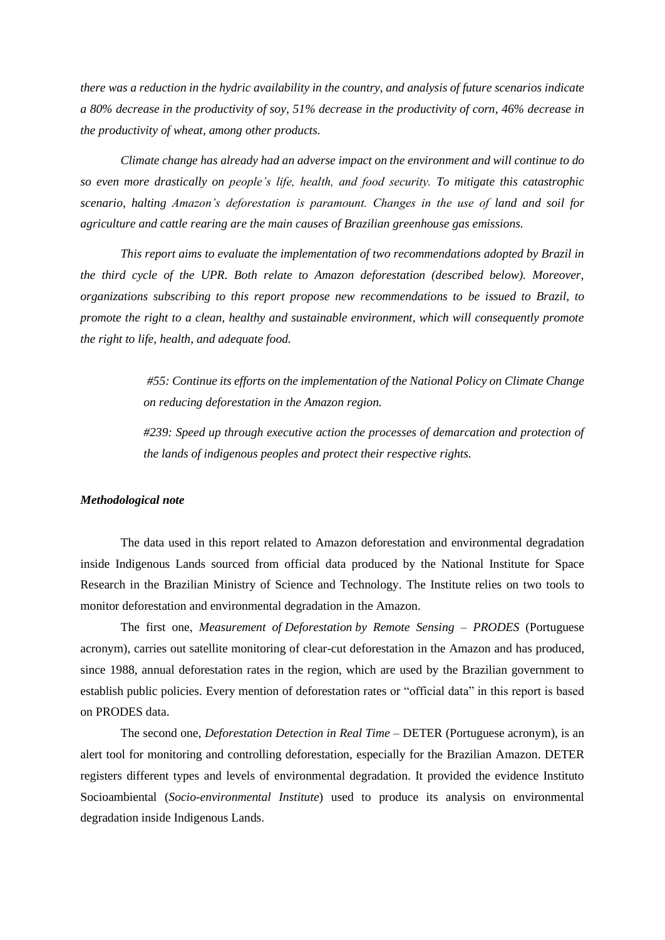*there was a reduction in the hydric availability in the country, and analysis of future scenarios indicate a 80% decrease in the productivity of soy, 51% decrease in the productivity of corn, 46% decrease in the productivity of wheat, among other products.* 

*Climate change has already had an adverse impact on the environment and will continue to do so even more drastically on people's life, health, and food security. To mitigate this catastrophic scenario, halting Amazon's deforestation is paramount. Changes in the use of land and soil for agriculture and cattle rearing are the main causes of Brazilian greenhouse gas emissions.* 

*This report aims to evaluate the implementation of two recommendations adopted by Brazil in the third cycle of the UPR. Both relate to Amazon deforestation (described below). Moreover, organizations subscribing to this report propose new recommendations to be issued to Brazil, to promote the right to a clean, healthy and sustainable environment, which will consequently promote the right to life, health, and adequate food.* 

> *#55: Continue its efforts on the implementation of the National Policy on Climate Change on reducing deforestation in the Amazon region.*

> *#239: Speed up through executive action the processes of demarcation and protection of the lands of indigenous peoples and protect their respective rights.*

#### *Methodological note*

The data used in this report related to Amazon deforestation and environmental degradation inside Indigenous Lands sourced from official data produced by the National Institute for Space Research in the Brazilian Ministry of Science and Technology. The Institute relies on two tools to monitor deforestation and environmental degradation in the Amazon.

The first one, *Measurement of Deforestation by Remote Sensing – PRODES* (Portuguese acronym), carries out satellite monitoring of clear-cut deforestation in the Amazon and has produced, since 1988, annual deforestation rates in the region, which are used by the Brazilian government to establish public policies. Every mention of deforestation rates or "official data" in this report is based on PRODES data.

The second one, *Deforestation Detection in Real Time* – DETER (Portuguese acronym), is an alert tool for monitoring and controlling deforestation, especially for the Brazilian Amazon. DETER registers different types and levels of environmental degradation. It provided the evidence Instituto Socioambiental (*Socio-environmental Institute*) used to produce its analysis on environmental degradation inside Indigenous Lands.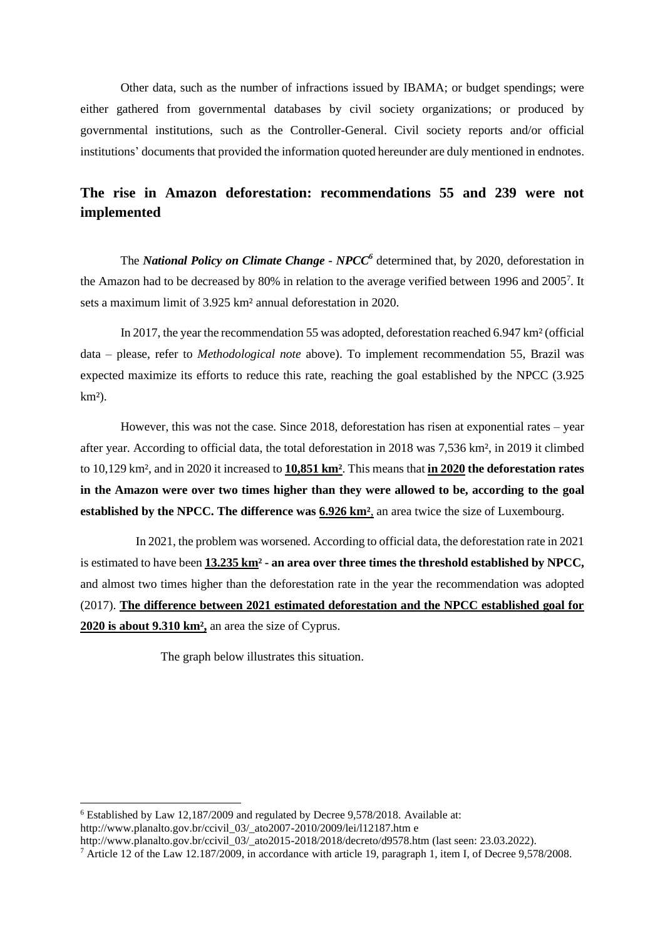Other data, such as the number of infractions issued by IBAMA; or budget spendings; were either gathered from governmental databases by civil society organizations; or produced by governmental institutions, such as the Controller-General. Civil society reports and/or official institutions' documents that provided the information quoted hereunder are duly mentioned in endnotes.

## **The rise in Amazon deforestation: recommendations 55 and 239 were not implemented**

 The *National Policy on Climate Change - NPCC<sup>6</sup>* determined that, by 2020, deforestation in the Amazon had to be decreased by 80% in relation to the average verified between 1996 and 2005<sup>7</sup>. It sets a maximum limit of 3.925 km² annual deforestation in 2020.

In 2017, the year the recommendation 55 was adopted, deforestation reached 6.947 km² (official data – please, refer to *Methodological note* above). To implement recommendation 55, Brazil was expected maximize its efforts to reduce this rate, reaching the goal established by the NPCC (3.925  $km<sup>2</sup>$ ).

However, this was not the case. Since 2018, deforestation has risen at exponential rates – year after year. According to official data, the total deforestation in 2018 was 7,536 km², in 2019 it climbed to 10,129 km², and in 2020 it increased to **10,851 km²**. This means that **in 2020 the deforestation rates in the Amazon were over two times higher than they were allowed to be, according to the goal established by the NPCC. The difference was 6.926 km²**, an area twice the size of Luxembourg.

 In 2021, the problem was worsened. According to official data, the deforestation rate in 2021 is estimated to have been **13.235 km² - an area over three times the threshold established by NPCC,**  and almost two times higher than the deforestation rate in the year the recommendation was adopted (2017). **The difference between 2021 estimated deforestation and the NPCC established goal for 2020 is about 9.310 km²,** an area the size of Cyprus.

The graph below illustrates this situation.

<sup>6</sup> Established by Law 12,187/2009 and regulated by Decree 9,578/2018. Available at: [http://www.planalto.gov.br/ccivil\\_03/\\_ato2007-2010/2009/lei/l12187.htm](http://www.planalto.gov.br/ccivil_03/_ato2007-2010/2009/lei/l12187.htm) e

[http://www.planalto.gov.br/ccivil\\_03/\\_ato2015-2018/2018/decreto/d9578.htm](http://www.planalto.gov.br/ccivil_03/_ato2015-2018/2018/decreto/d9578.htm) (last seen: 23.03.2022).

<sup>&</sup>lt;sup>7</sup> Article 12 of the Law 12.187/2009, in accordance with article 19, paragraph 1, item I, of Decree 9,578/2008.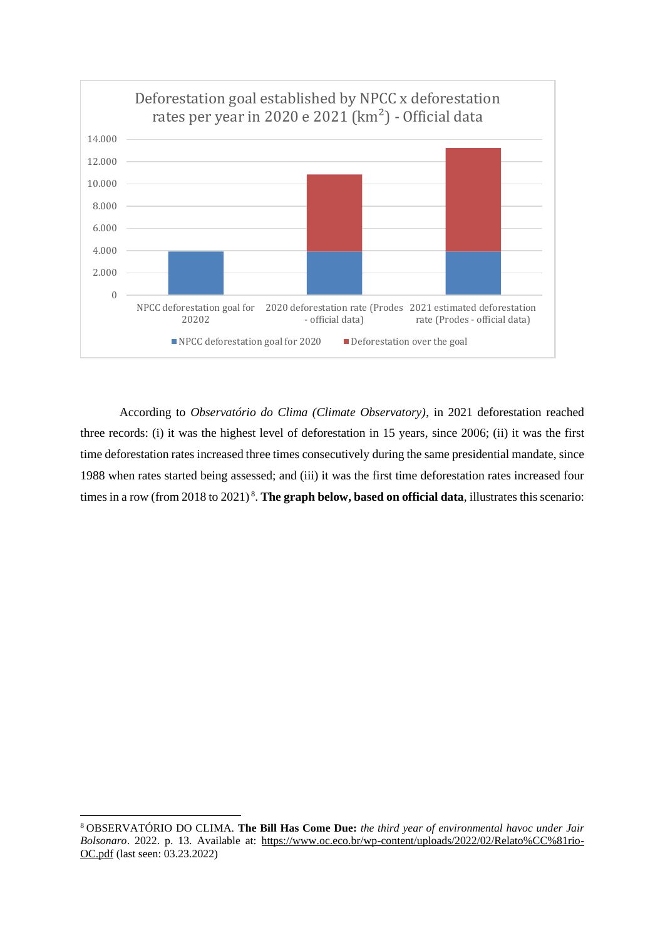

According to *Observatório do Clima (Climate Observatory)*, in 2021 deforestation reached three records: (i) it was the highest level of deforestation in 15 years, since 2006; (ii) it was the first time deforestation rates increased three times consecutively during the same presidential mandate, since 1988 when rates started being assessed; and (iii) it was the first time deforestation rates increased four times in a row (from 2018 to 2021)<sup>8</sup>. The graph below, based on official data, illustrates this scenario:

<sup>8</sup> OBSERVATÓRIO DO CLIMA. **The Bill Has Come Due:** *the third year of environmental havoc under Jair Bolsonaro*. 2022. p. 13. Available at: [https://www.oc.eco.br/wp-content/uploads/2022/02/Relato%CC%81rio-](https://www.oc.eco.br/wp-content/uploads/2022/02/Relato%CC%81rio-OC.pdf)[OC.pdf](https://www.oc.eco.br/wp-content/uploads/2022/02/Relato%CC%81rio-OC.pdf) (last seen: 03.23.2022)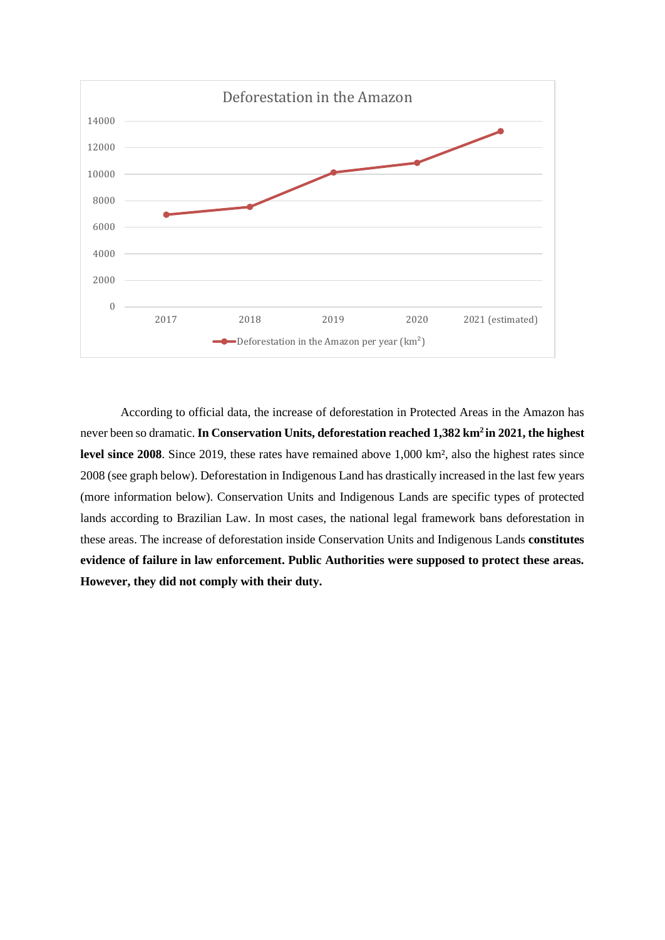

According to official data, the increase of deforestation in Protected Areas in the Amazon has never been so dramatic. **In Conservation Units, deforestation reached 1,382 km<sup>2</sup>in 2021, the highest level since 2008**. Since 2019, these rates have remained above 1,000 km², also the highest rates since 2008 (see graph below). Deforestation in Indigenous Land has drastically increased in the last few years (more information below). Conservation Units and Indigenous Lands are specific types of protected lands according to Brazilian Law. In most cases, the national legal framework bans deforestation in these areas. The increase of deforestation inside Conservation Units and Indigenous Lands **constitutes evidence of failure in law enforcement. Public Authorities were supposed to protect these areas. However, they did not comply with their duty.**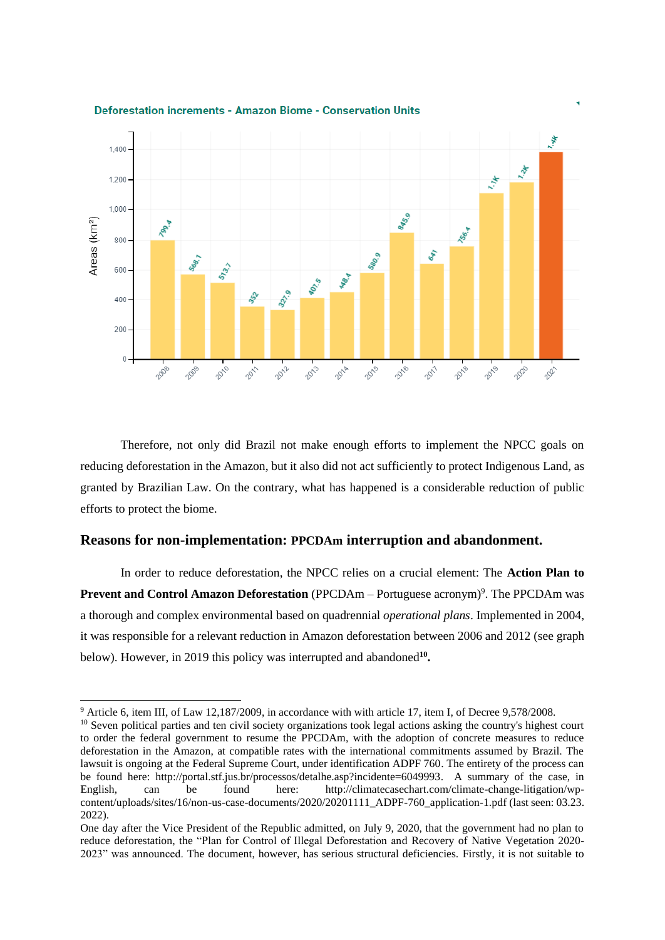



Therefore, not only did Brazil not make enough efforts to implement the NPCC goals on reducing deforestation in the Amazon, but it also did not act sufficiently to protect Indigenous Land, as granted by Brazilian Law. On the contrary, what has happened is a considerable reduction of public efforts to protect the biome.

### **Reasons for non-implementation: PPCDAm interruption and abandonment.**

In order to reduce deforestation, the NPCC relies on a crucial element: The **Action Plan to Prevent and Control Amazon Deforestation** (PPCDAm - Portuguese acronym)<sup>9</sup>. The PPCDAm was a thorough and complex environmental based on quadrennial *operational plans*. Implemented in 2004, it was responsible for a relevant reduction in Amazon deforestation between 2006 and 2012 (see graph below). However, in 2019 this policy was interrupted and abandoned**<sup>10</sup> .**

<sup>9</sup> Article 6, item III, of Law 12,187/2009, in accordance with with article 17, item I, of Decree 9,578/2008.

<sup>&</sup>lt;sup>10</sup> Seven political parties and ten civil society organizations took legal actions asking the country's highest court to order the federal government to resume the PPCDAm, with the adoption of concrete measures to reduce deforestation in the Amazon, at compatible rates with the international commitments assumed by Brazil. The lawsuit is ongoing at the Federal Supreme Court, under identification ADPF 760. The entirety of the process can be found here: [http://portal.stf.jus.br/processos/detalhe.asp?incidente=6049993.](http://portal.stf.jus.br/processos/detalhe.asp?incidente=6049993) A summary of the case, in English, can be found here: [http://climatecasechart.com/climate-change-litigation/wp](http://climatecasechart.com/climate-change-litigation/wp-content/uploads/sites/16/non-us-case-documents/2020/20201111_ADPF-760_application-1.pdf)[content/uploads/sites/16/non-us-case-documents/2020/20201111\\_ADPF-760\\_application-1.pdf](http://climatecasechart.com/climate-change-litigation/wp-content/uploads/sites/16/non-us-case-documents/2020/20201111_ADPF-760_application-1.pdf) (last seen: 03.23. 2022).

One day after the Vice President of the Republic admitted, on July 9, 2020, that the government had no plan to reduce deforestation, the "Plan for Control of Illegal Deforestation and Recovery of Native Vegetation 2020- 2023" was announced. The document, however, has serious structural deficiencies. Firstly, it is not suitable to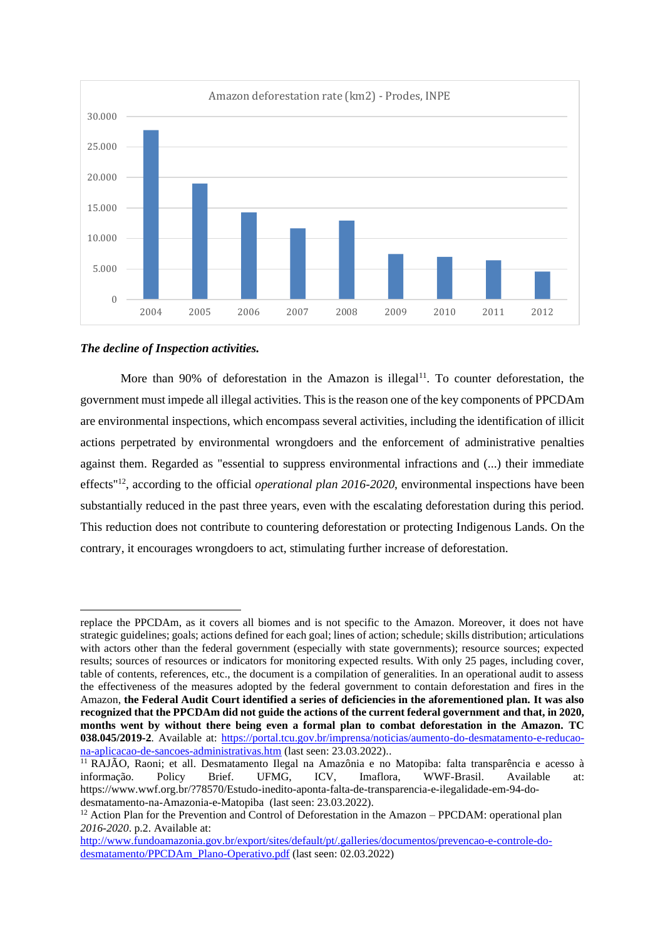

## *The decline of Inspection activities.*

More than 90% of deforestation in the Amazon is illegal<sup>11</sup>. To counter deforestation, the government must impede all illegal activities. This is the reason one of the key components of PPCDAm are environmental inspections, which encompass several activities, including the identification of illicit actions perpetrated by environmental wrongdoers and the enforcement of administrative penalties against them. Regarded as "essential to suppress environmental infractions and (...) their immediate effects"<sup>12</sup>, according to the official *operational plan 2016-2020*, environmental inspections have been substantially reduced in the past three years, even with the escalating deforestation during this period. This reduction does not contribute to countering deforestation or protecting Indigenous Lands. On the contrary, it encourages wrongdoers to act, stimulating further increase of deforestation.

replace the PPCDAm, as it covers all biomes and is not specific to the Amazon. Moreover, it does not have strategic guidelines; goals; actions defined for each goal; lines of action; schedule; skills distribution; articulations with actors other than the federal government (especially with state governments); resource sources; expected results; sources of resources or indicators for monitoring expected results. With only 25 pages, including cover, table of contents, references, etc., the document is a compilation of generalities. In an operational audit to assess the effectiveness of the measures adopted by the federal government to contain deforestation and fires in the Amazon, **the Federal Audit Court identified a series of deficiencies in the aforementioned plan. It was also recognized that the PPCDAm did not guide the actions of the current federal government and that, in 2020, months went by without there being even a formal plan to combat deforestation in the Amazon. TC 038.045/2019-2***.* Available at: [https://portal.tcu.gov.br/imprensa/noticias/aumento-do-desmatamento-e-reducao](https://portal.tcu.gov.br/imprensa/noticias/aumento-do-desmatamento-e-reducao-na-aplicacao-de-sancoes-administrativas.htm)[na-aplicacao-de-sancoes-administrativas.htm](https://portal.tcu.gov.br/imprensa/noticias/aumento-do-desmatamento-e-reducao-na-aplicacao-de-sancoes-administrativas.htm) (last seen: 23.03.2022)..

<sup>&</sup>lt;sup>11</sup> RAJÃO, Raoni; et all. Desmatamento Ilegal na Amazônia e no Matopiba: falta transparência e acesso à informação. Policy Brief. UFMG, ICV, Imaflora, WWF-Brasil. Available at: https://www.wwf.org.br/?78570/Estudo-inedito-aponta-falta-de-transparencia-e-ilegalidade-em-94-dodesmatamento-na-Amazonia-e-Matopiba (last seen: 23.03.2022).

 $12$  Action Plan for the Prevention and Control of Deforestation in the Amazon – PPCDAM: operational plan *2016-2020*. p.2. Available at:

[http://www.fundoamazonia.gov.br/export/sites/default/pt/.galleries/documentos/prevencao-e-controle-do](http://www.fundoamazonia.gov.br/export/sites/default/pt/.galleries/documentos/prevencao-e-controle-do-desmatamento/PPCDAm_Plano-Operativo.pdf)[desmatamento/PPCDAm\\_Plano-Operativo.pdf](http://www.fundoamazonia.gov.br/export/sites/default/pt/.galleries/documentos/prevencao-e-controle-do-desmatamento/PPCDAm_Plano-Operativo.pdf) (last seen: 02.03.2022)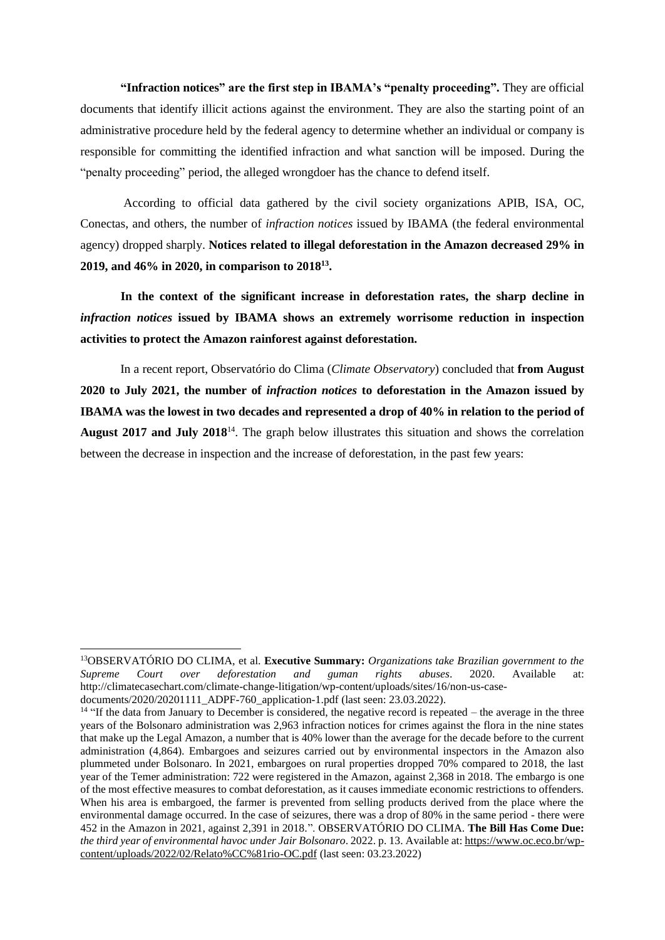**"Infraction notices" are the first step in IBAMA's "penalty proceeding".** They are official documents that identify illicit actions against the environment. They are also the starting point of an administrative procedure held by the federal agency to determine whether an individual or company is responsible for committing the identified infraction and what sanction will be imposed. During the "penalty proceeding" period, the alleged wrongdoer has the chance to defend itself.

According to official data gathered by the civil society organizations APIB, ISA, OC, Conectas, and others, the number of *infraction notices* issued by IBAMA (the federal environmental agency) dropped sharply. **Notices related to illegal deforestation in the Amazon decreased 29% in 2019, and 46% in 2020, in comparison to 2018<sup>13</sup> .**

**In the context of the significant increase in deforestation rates, the sharp decline in**  *infraction notices* **issued by IBAMA shows an extremely worrisome reduction in inspection activities to protect the Amazon rainforest against deforestation.** 

 In a recent report, Observatório do Clima (*Climate Observatory*) concluded that **from August 2020 to July 2021, the number of** *infraction notices* **to deforestation in the Amazon issued by IBAMA was the lowest in two decades and represented a drop of 40% in relation to the period of August 2017 and July 2018**<sup>14</sup>. The graph below illustrates this situation and shows the correlation between the decrease in inspection and the increase of deforestation, in the past few years:

<sup>13</sup>OBSERVATÓRIO DO CLIMA, et al. **Executive Summary:** *Organizations take Brazilian government to the Supreme Court over deforestation and guman rights abuses*. 2020. Available at: [http://climatecasechart.com/climate-change-litigation/wp-content/uploads/sites/16/non-us-case](http://climatecasechart.com/climate-change-litigation/wp-content/uploads/sites/16/non-us-case-documents/2020/20201111_ADPF-760_application-1.pdf)[documents/2020/20201111\\_ADPF-760\\_application-1.pdf](http://climatecasechart.com/climate-change-litigation/wp-content/uploads/sites/16/non-us-case-documents/2020/20201111_ADPF-760_application-1.pdf) (last seen: 23.03.2022).

<sup>&</sup>lt;sup>14</sup> "If the data from January to December is considered, the negative record is repeated – the average in the three years of the Bolsonaro administration was 2,963 infraction notices for crimes against the flora in the nine states that make up the Legal Amazon, a number that is 40% lower than the average for the decade before to the current administration (4,864). Embargoes and seizures carried out by environmental inspectors in the Amazon also plummeted under Bolsonaro. In 2021, embargoes on rural properties dropped 70% compared to 2018, the last year of the Temer administration: 722 were registered in the Amazon, against 2,368 in 2018. The embargo is one of the most effective measures to combat deforestation, as it causes immediate economic restrictions to offenders. When his area is embargoed, the farmer is prevented from selling products derived from the place where the environmental damage occurred. In the case of seizures, there was a drop of 80% in the same period - there were 452 in the Amazon in 2021, against 2,391 in 2018.". OBSERVATÓRIO DO CLIMA. **The Bill Has Come Due:** *the third year of environmental havoc under Jair Bolsonaro*. 2022. p. 13. Available at[: https://www.oc.eco.br/wp](https://www.oc.eco.br/wp-content/uploads/2022/02/Relato%CC%81rio-OC.pdf)[content/uploads/2022/02/Relato%CC%81rio-OC.pdf](https://www.oc.eco.br/wp-content/uploads/2022/02/Relato%CC%81rio-OC.pdf) (last seen: 03.23.2022)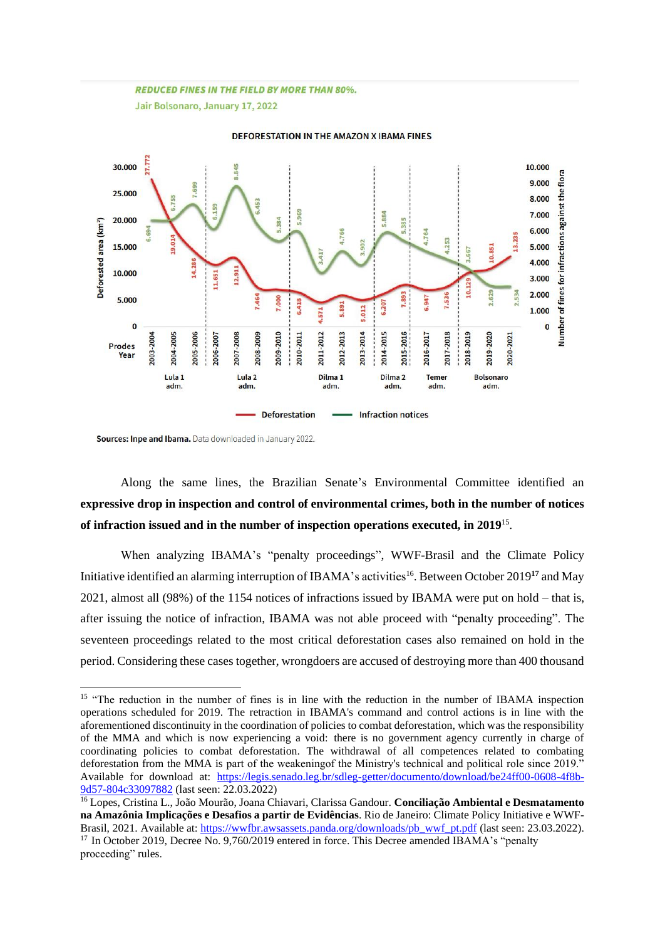#### **REDUCED FINES IN THE FIELD BY MORE THAN 80%.**

Jair Bolsonaro, January 17, 2022



#### DEFORESTATION IN THE AMAZON X IBAMA FINES

Sources: Inpe and Ibama. Data downloaded in January 2022.

Along the same lines, the Brazilian Senate's Environmental Committee identified an **expressive drop in inspection and control of environmental crimes, both in the number of notices of infraction issued and in the number of inspection operations executed, in 2019**<sup>15</sup> .

When analyzing IBAMA's "penalty proceedings", WWF-Brasil and the Climate Policy Initiative identified an alarming interruption of IBAMA's activities<sup>16</sup>. Between October 2019<sup>17</sup> and May 2021, almost all (98%) of the 1154 notices of infractions issued by IBAMA were put on hold – that is, after issuing the notice of infraction, IBAMA was not able proceed with "penalty proceeding". The seventeen proceedings related to the most critical deforestation cases also remained on hold in the period. Considering these cases together, wrongdoers are accused of destroying more than 400 thousand

<sup>&</sup>lt;sup>15</sup> "The reduction in the number of fines is in line with the reduction in the number of IBAMA inspection operations scheduled for 2019. The retraction in IBAMA's command and control actions is in line with the aforementioned discontinuity in the coordination of policies to combat deforestation, which was the responsibility of the MMA and which is now experiencing a void: there is no government agency currently in charge of coordinating policies to combat deforestation. The withdrawal of all competences related to combating deforestation from the MMA is part of the weakeningof the Ministry's technical and political role since 2019." Available for download at: [https://legis.senado.leg.br/sdleg-getter/documento/download/be24ff00-0608-4f8b-](https://legis.senado.leg.br/sdleg-getter/documento/download/be24ff00-0608-4f8b-9d57-804c33097882)[9d57-804c33097882](https://legis.senado.leg.br/sdleg-getter/documento/download/be24ff00-0608-4f8b-9d57-804c33097882) (last seen: 22.03.2022)

<sup>16</sup> Lopes, Cristina L., João Mourão, Joana Chiavari, Clarissa Gandour. **Conciliação Ambiental e Desmatamento na Amazônia Implicações e Desafios a partir de Evidências**. Rio de Janeiro: Climate Policy Initiative e WWF-Brasil, 2021. Available at[: https://wwfbr.awsassets.panda.org/downloads/pb\\_wwf\\_pt.pdf](https://wwfbr.awsassets.panda.org/downloads/pb_wwf_pt.pdf) (last seen: 23.03.2022). <sup>17</sup> In October 2019, Decree No. 9,760/2019 entered in force. This Decree amended IBAMA's "penalty proceeding" rules.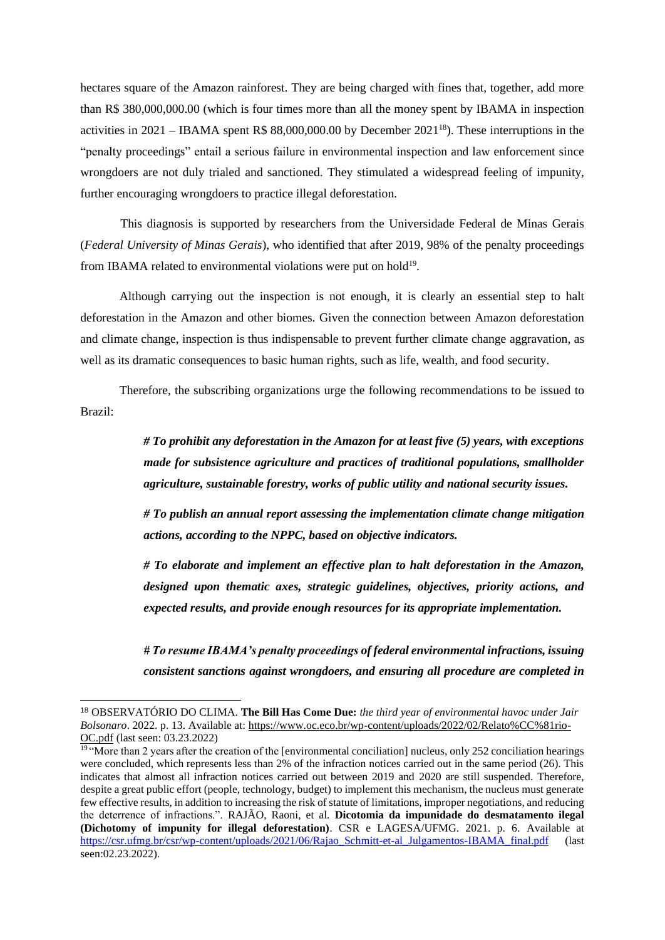hectares square of the Amazon rainforest. They are being charged with fines that, together, add more than R\$ 380,000,000.00 (which is four times more than all the money spent by IBAMA in inspection activities in 2021 – IBAMA spent R\$ 88,000,000.00 by December 2021<sup>18</sup>). These interruptions in the "penalty proceedings" entail a serious failure in environmental inspection and law enforcement since wrongdoers are not duly trialed and sanctioned. They stimulated a widespread feeling of impunity, further encouraging wrongdoers to practice illegal deforestation.

 This diagnosis is supported by researchers from the Universidade Federal de Minas Gerais (*Federal University of Minas Gerais*), who identified that after 2019, 98% of the penalty proceedings from IBAMA related to environmental violations were put on hold $1<sup>9</sup>$ .

Although carrying out the inspection is not enough, it is clearly an essential step to halt deforestation in the Amazon and other biomes. Given the connection between Amazon deforestation and climate change, inspection is thus indispensable to prevent further climate change aggravation, as well as its dramatic consequences to basic human rights, such as life, wealth, and food security.

Therefore, the subscribing organizations urge the following recommendations to be issued to Brazil:

> *# To prohibit any deforestation in the Amazon for at least five (5) years, with exceptions made for subsistence agriculture and practices of traditional populations, smallholder agriculture, sustainable forestry, works of public utility and national security issues.*

> *# To publish an annual report assessing the implementation climate change mitigation actions, according to the NPPC, based on objective indicators.*

> *# To elaborate and implement an effective plan to halt deforestation in the Amazon, designed upon thematic axes, strategic guidelines, objectives, priority actions, and expected results, and provide enough resources for its appropriate implementation.*

> *# To resume IBAMA's penalty proceedings of federal environmental infractions, issuing consistent sanctions against wrongdoers, and ensuring all procedure are completed in*

<sup>18</sup> OBSERVATÓRIO DO CLIMA. **The Bill Has Come Due:** *the third year of environmental havoc under Jair Bolsonaro*. 2022. p. 13. Available at[: https://www.oc.eco.br/wp-content/uploads/2022/02/Relato%CC%81rio-](https://www.oc.eco.br/wp-content/uploads/2022/02/Relato%CC%81rio-OC.pdf)[OC.pdf](https://www.oc.eco.br/wp-content/uploads/2022/02/Relato%CC%81rio-OC.pdf) (last seen: 03.23.2022)

<sup>&</sup>lt;sup>19</sup> "More than 2 years after the creation of the [environmental conciliation] nucleus, only 252 conciliation hearings were concluded, which represents less than 2% of the infraction notices carried out in the same period (26). This indicates that almost all infraction notices carried out between 2019 and 2020 are still suspended. Therefore, despite a great public effort (people, technology, budget) to implement this mechanism, the nucleus must generate few effective results, in addition to increasing the risk of statute of limitations, improper negotiations, and reducing the deterrence of infractions.". RAJÃO, Raoni, et al. **Dicotomia da impunidade do desmatamento ilegal (Dichotomy of impunity for illegal deforestation)**. CSR e LAGESA/UFMG. 2021. p. 6. Available at [https://csr.ufmg.br/csr/wp-content/uploads/2021/06/Rajao\\_Schmitt-et-al\\_Julgamentos-IBAMA\\_final.pdf](https://csr.ufmg.br/csr/wp-content/uploads/2021/06/Rajao_Schmitt-et-al_Julgamentos-IBAMA_final.pdf) (last seen:02.23.2022).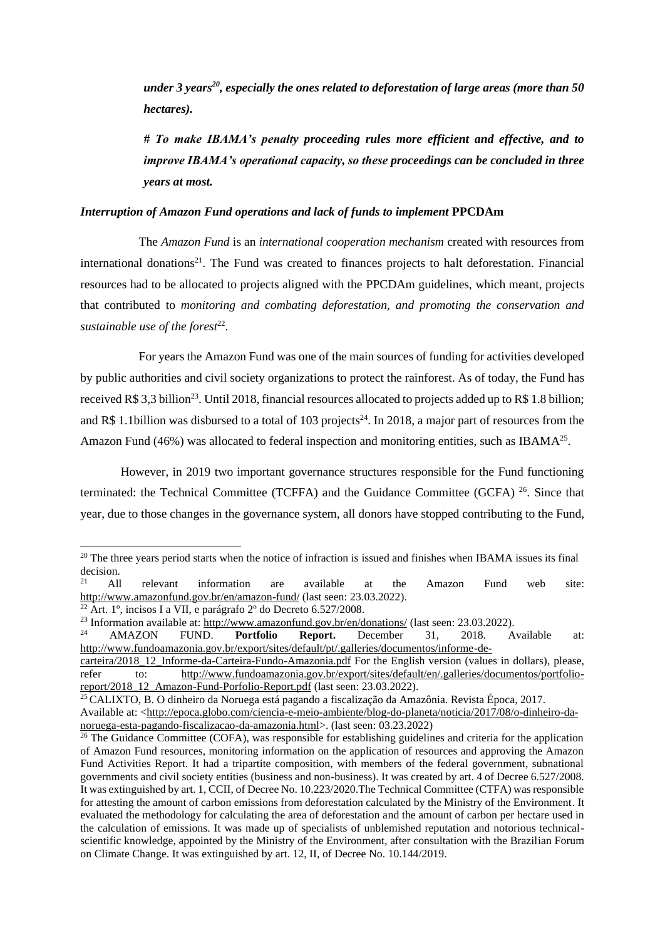*under 3 years<sup>20</sup>, especially the ones related to deforestation of large areas (more than 50 hectares).* 

*# To make IBAMA's penalty proceeding rules more efficient and effective, and to improve IBAMA's operational capacity, so these proceedings can be concluded in three years at most.* 

#### *Interruption of Amazon Fund operations and lack of funds to implement* **PPCDAm**

 The *Amazon Fund* is an *international cooperation mechanism* created with resources from international donations<sup>21</sup>. The Fund was created to finances projects to halt deforestation. Financial resources had to be allocated to projects aligned with the PPCDAm guidelines, which meant, projects that contributed to *monitoring and combating deforestation, and promoting the conservation and*  sustainable use of the forest<sup>22</sup>.

 For years the Amazon Fund was one of the main sources of funding for activities developed by public authorities and civil society organizations to protect the rainforest. As of today, the Fund has received R\$ 3,3 billion<sup>23</sup>. Until 2018, financial resources allocated to projects added up to R\$ 1.8 billion; and R\$ 1.1billion was disbursed to a total of 103 projects<sup>24</sup>. In 2018, a major part of resources from the Amazon Fund (46%) was allocated to federal inspection and monitoring entities, such as IBAMA<sup>25</sup>.

However, in 2019 two important governance structures responsible for the Fund functioning terminated: the Technical Committee (TCFFA) and the Guidance Committee (GCFA) <sup>26</sup>. Since that year, due to those changes in the governance system, all donors have stopped contributing to the Fund,

 $20$  The three years period starts when the notice of infraction is issued and finishes when IBAMA issues its final decision.

 $21$  All relevant information are available at the Amazon Fund web site: <http://www.amazonfund.gov.br/en/amazon-fund/> (last seen: 23.03.2022).

 $^{22}$  Art. 1°, incisos I a VII, e parágrafo  $2^{\circ}$  do Decreto 6.527/2008.

<sup>&</sup>lt;sup>23</sup> Information available at:<http://www.amazonfund.gov.br/en/donations/> (last seen: 23.03.2022).

<sup>24</sup> AMAZON FUND. **Portfolio Report.** December 31, 2018. Available at: [http://www.fundoamazonia.gov.br/export/sites/default/pt/.galleries/documentos/informe-de-](http://www.fundoamazonia.gov.br/export/sites/default/pt/.galleries/documentos/informe-de-carteira/2018_12_Informe-da-Carteira-Fundo-Amazonia.pdf)

[carteira/2018\\_12\\_Informe-da-Carteira-Fundo-Amazonia.pdf](http://www.fundoamazonia.gov.br/export/sites/default/pt/.galleries/documentos/informe-de-carteira/2018_12_Informe-da-Carteira-Fundo-Amazonia.pdf) For the English version (values in dollars), please, refer to: [http://www.fundoamazonia.gov.br/export/sites/default/en/.galleries/documentos/portfolio](http://www.fundoamazonia.gov.br/export/sites/default/en/.galleries/documentos/portfolio-report/2018_12_Amazon-Fund-Porfolio-Report.pdf)[report/2018\\_12\\_Amazon-Fund-Porfolio-Report.pdf](http://www.fundoamazonia.gov.br/export/sites/default/en/.galleries/documentos/portfolio-report/2018_12_Amazon-Fund-Porfolio-Report.pdf) (last seen: 23.03.2022).

<sup>25</sup> CALIXTO, B. O dinheiro da Noruega está pagando a fiscalização da Amazônia. Revista Época, 2017. Available at: <http://epoca.globo.com/ciencia-e-meio-ambiente/blog-do-planeta/noticia/2017/08/o-dinheiro-da-

noruega-esta-pagando-fiscalizacao-da-amazonia.html>. (last seen: 03.23.2022)

<sup>&</sup>lt;sup>26</sup> The Guidance Committee (COFA), was responsible for establishing guidelines and criteria for the application of Amazon Fund resources, monitoring information on the application of resources and approving the Amazon Fund Activities Report. It had a tripartite composition, with members of the federal government, subnational governments and civil society entities (business and non-business). It was created by art. 4 of Decree 6.527/2008. It was extinguished by art. 1, CCII, of Decree No. 10.223/2020.The Technical Committee (CTFA) was responsible for attesting the amount of carbon emissions from deforestation calculated by the Ministry of the Environment. It evaluated the methodology for calculating the area of deforestation and the amount of carbon per hectare used in the calculation of emissions. It was made up of specialists of unblemished reputation and notorious technicalscientific knowledge, appointed by the Ministry of the Environment, after consultation with the Brazilian Forum on Climate Change. It was extinguished by art. 12, II, of Decree No. 10.144/2019.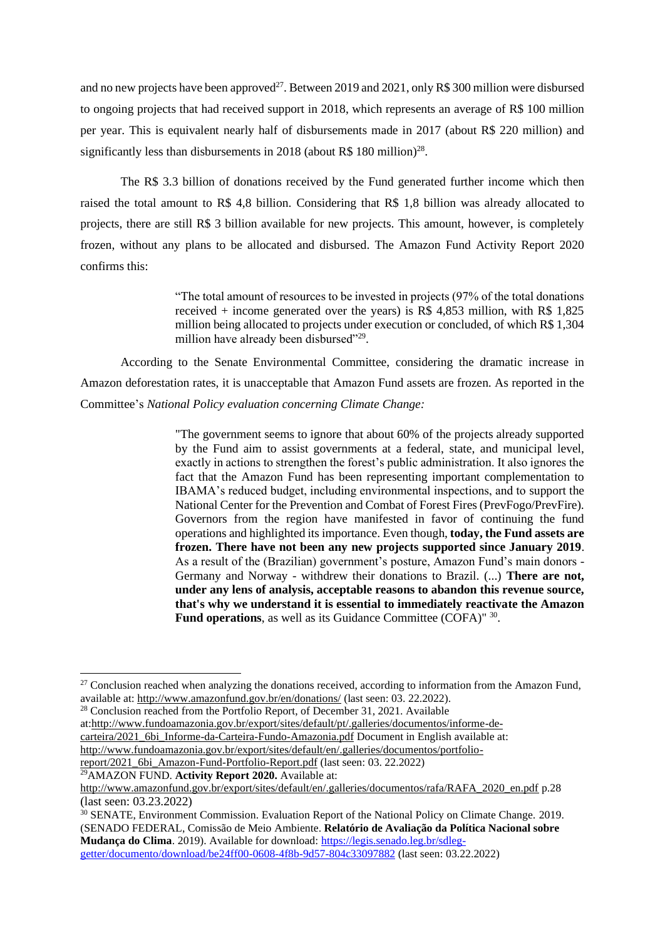and no new projects have been approved<sup>27</sup>. Between 2019 and 2021, only R\$ 300 million were disbursed to ongoing projects that had received support in 2018, which represents an average of R\$ 100 million per year. This is equivalent nearly half of disbursements made in 2017 (about R\$ 220 million) and significantly less than disbursements in 2018 (about R\$ 180 million) $^{28}$ .

The R\$ 3.3 billion of donations received by the Fund generated further income which then raised the total amount to R\$ 4,8 billion. Considering that R\$ 1,8 billion was already allocated to projects, there are still R\$ 3 billion available for new projects. This amount, however, is completely frozen, without any plans to be allocated and disbursed. The Amazon Fund Activity Report 2020 confirms this:

> "The total amount of resources to be invested in projects (97% of the total donations received  $+$  income generated over the years) is R\$ 4,853 million, with R\$ 1,825 million being allocated to projects under execution or concluded, of which R\$ 1,304 million have already been disbursed"<sup>29</sup>.

According to the Senate Environmental Committee, considering the dramatic increase in Amazon deforestation rates, it is unacceptable that Amazon Fund assets are frozen. As reported in the Committee's *National Policy evaluation concerning Climate Change:*

> "The government seems to ignore that about 60% of the projects already supported by the Fund aim to assist governments at a federal, state, and municipal level, exactly in actions to strengthen the forest's public administration. It also ignores the fact that the Amazon Fund has been representing important complementation to IBAMA's reduced budget, including environmental inspections, and to support the National Center for the Prevention and Combat of Forest Fires (PrevFogo/PrevFire). Governors from the region have manifested in favor of continuing the fund operations and highlighted its importance. Even though, **today, the Fund assets are frozen. There have not been any new projects supported since January 2019**. As a result of the (Brazilian) government's posture, Amazon Fund's main donors - Germany and Norway - withdrew their donations to Brazil. (...) **There are not, under any lens of analysis, acceptable reasons to abandon this revenue source, that's why we understand it is essential to immediately reactivate the Amazon**  Fund operations, as well as its Guidance Committee (COFA)<sup>" 30</sup>.

<sup>29</sup>AMAZON FUND. **Activity Report 2020.** Available at:

<sup>&</sup>lt;sup>27</sup> Conclusion reached when analyzing the donations received, according to information from the Amazon Fund, available at:<http://www.amazonfund.gov.br/en/donations/> (last seen: 03. 22.2022).

 $28$  Conclusion reached from the Portfolio Report, of December 31, 2021. Available at[:http://www.fundoamazonia.gov.br/export/sites/default/pt/.galleries/documentos/informe-de](http://www.fundoamazonia.gov.br/export/sites/default/pt/.galleries/documentos/informe-de-carteira/2021_6bi_Informe-da-Carteira-Fundo-Amazonia.pdf)[carteira/2021\\_6bi\\_Informe-da-Carteira-Fundo-Amazonia.pdf](http://www.fundoamazonia.gov.br/export/sites/default/pt/.galleries/documentos/informe-de-carteira/2021_6bi_Informe-da-Carteira-Fundo-Amazonia.pdf) Document in English available at: [http://www.fundoamazonia.gov.br/export/sites/default/en/.galleries/documentos/portfolio](http://www.fundoamazonia.gov.br/export/sites/default/en/.galleries/documentos/portfolio-report/2021_6bi_Amazon-Fund-Portfolio-Report.pdf)[report/2021\\_6bi\\_Amazon-Fund-Portfolio-Report.pdf](http://www.fundoamazonia.gov.br/export/sites/default/en/.galleries/documentos/portfolio-report/2021_6bi_Amazon-Fund-Portfolio-Report.pdf) (last seen: 03. 22.2022)

[http://www.amazonfund.gov.br/export/sites/default/en/.galleries/documentos/rafa/RAFA\\_2020\\_en.pdf](http://www.amazonfund.gov.br/export/sites/default/en/.galleries/documentos/rafa/RAFA_2020_en.pdf) p.28 (last seen: 03.23.2022)

<sup>30</sup> SENATE, Environment Commission. Evaluation Report of the National Policy on Climate Change. 2019. (SENADO FEDERAL, Comissão de Meio Ambiente. **Relatório de Avaliação da Política Nacional sobre**  Mudança do Clima. 2019). Available for download: [https://legis.senado.leg.br/sdleg](https://legis.senado.leg.br/sdleg-getter/documento/download/be24ff00-0608-4f8b-9d57-804c33097882)[getter/documento/download/be24ff00-0608-4f8b-9d57-804c33097882](https://legis.senado.leg.br/sdleg-getter/documento/download/be24ff00-0608-4f8b-9d57-804c33097882) (last seen: 03.22.2022)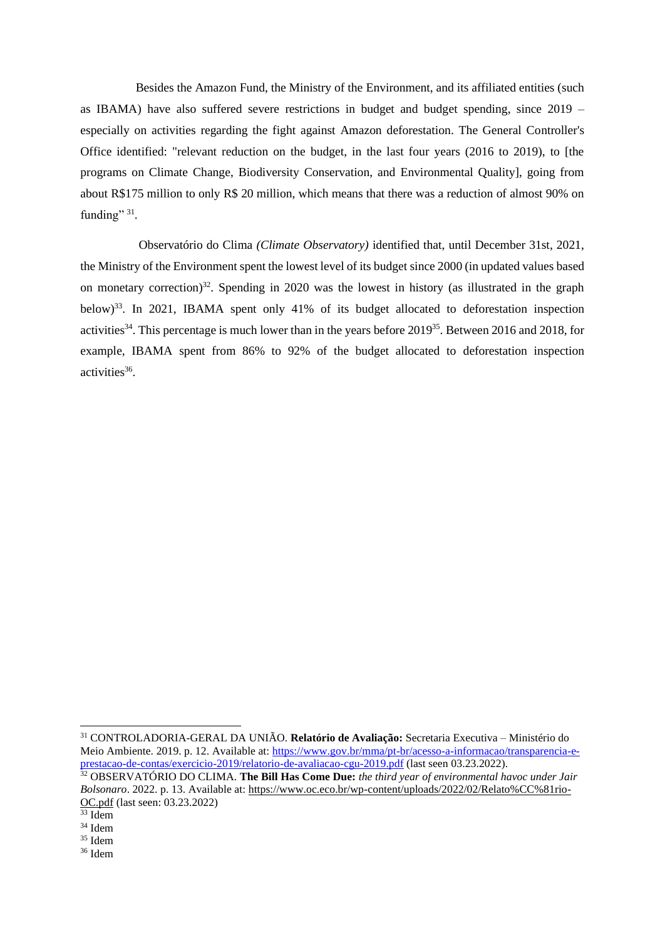Besides the Amazon Fund, the Ministry of the Environment, and its affiliated entities (such as IBAMA) have also suffered severe restrictions in budget and budget spending, since 2019 – especially on activities regarding the fight against Amazon deforestation. The General Controller's Office identified: "relevant reduction on the budget, in the last four years (2016 to 2019), to [the programs on Climate Change, Biodiversity Conservation, and Environmental Quality], going from about R\$175 million to only R\$ 20 million, which means that there was a reduction of almost 90% on funding" 31.

 Observatório do Clima *(Climate Observatory)* identified that, until December 31st, 2021, the Ministry of the Environment spent the lowest level of its budget since 2000 (in updated values based on monetary correction)<sup>32</sup>. Spending in 2020 was the lowest in history (as illustrated in the graph below)<sup>33</sup>. In 2021, IBAMA spent only 41% of its budget allocated to deforestation inspection activities<sup>34</sup>. This percentage is much lower than in the years before  $2019^{35}$ . Between 2016 and 2018, for example, IBAMA spent from 86% to 92% of the budget allocated to deforestation inspection activities<sup>36</sup>.

<sup>31</sup> CONTROLADORIA-GERAL DA UNIÃO. **Relatório de Avaliação:** Secretaria Executiva – Ministério do Meio Ambiente. 2019. p. 12. Available at: [https://www.gov.br/mma/pt-br/acesso-a-informacao/transparencia-e](https://www.gov.br/mma/pt-br/acesso-a-informacao/transparencia-e-prestacao-de-contas/exercicio-2019/relatorio-de-avaliacao-cgu-2019.pdf)[prestacao-de-contas/exercicio-2019/relatorio-de-avaliacao-cgu-2019.pdf](https://www.gov.br/mma/pt-br/acesso-a-informacao/transparencia-e-prestacao-de-contas/exercicio-2019/relatorio-de-avaliacao-cgu-2019.pdf) (last seen 03.23.2022).

<sup>32</sup> OBSERVATÓRIO DO CLIMA. **The Bill Has Come Due:** *the third year of environmental havoc under Jair Bolsonaro*. 2022. p. 13. Available at[: https://www.oc.eco.br/wp-content/uploads/2022/02/Relato%CC%81rio-](https://www.oc.eco.br/wp-content/uploads/2022/02/Relato%CC%81rio-OC.pdf)[OC.pdf](https://www.oc.eco.br/wp-content/uploads/2022/02/Relato%CC%81rio-OC.pdf) (last seen: 03.23.2022)

<sup>33</sup> Idem

<sup>34</sup> Idem

<sup>35</sup> Idem

<sup>36</sup> Idem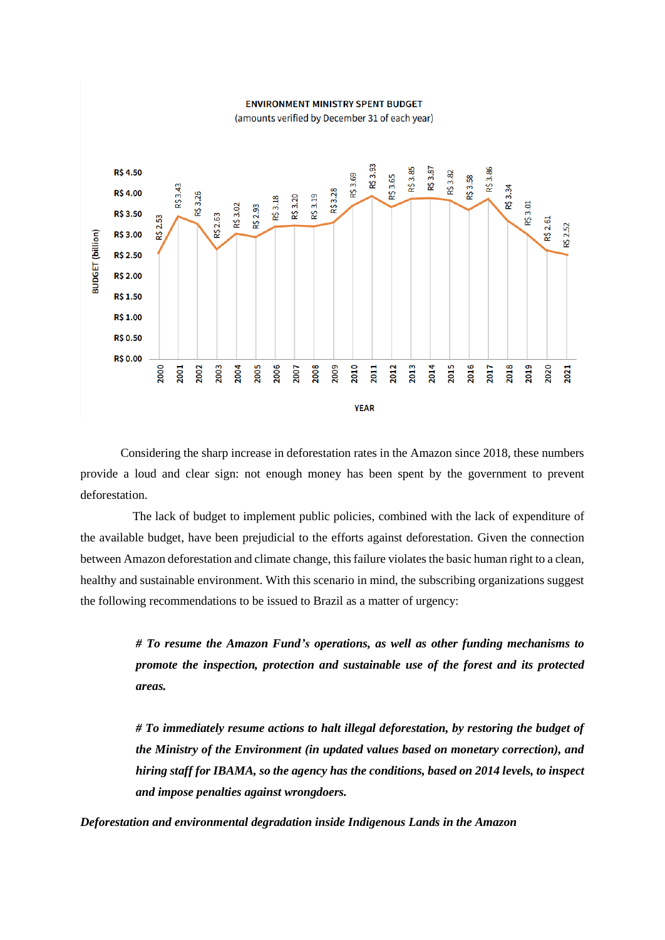#### **ENVIRONMENT MINISTRY SPENT BUDGET**



(amounts verified by December 31 of each year)

Considering the sharp increase in deforestation rates in the Amazon since 2018, these numbers provide a loud and clear sign: not enough money has been spent by the government to prevent deforestation.

 The lack of budget to implement public policies, combined with the lack of expenditure of the available budget, have been prejudicial to the efforts against deforestation. Given the connection between Amazon deforestation and climate change, this failure violates the basic human right to a clean, healthy and sustainable environment. With this scenario in mind, the subscribing organizations suggest the following recommendations to be issued to Brazil as a matter of urgency:

> *# To resume the Amazon Fund's operations, as well as other funding mechanisms to promote the inspection, protection and sustainable use of the forest and its protected areas.*

> *# To immediately resume actions to halt illegal deforestation, by restoring the budget of the Ministry of the Environment (in updated values based on monetary correction), and hiring staff for IBAMA, so the agency has the conditions, based on 2014 levels, to inspect and impose penalties against wrongdoers.*

*Deforestation and environmental degradation inside Indigenous Lands in the Amazon*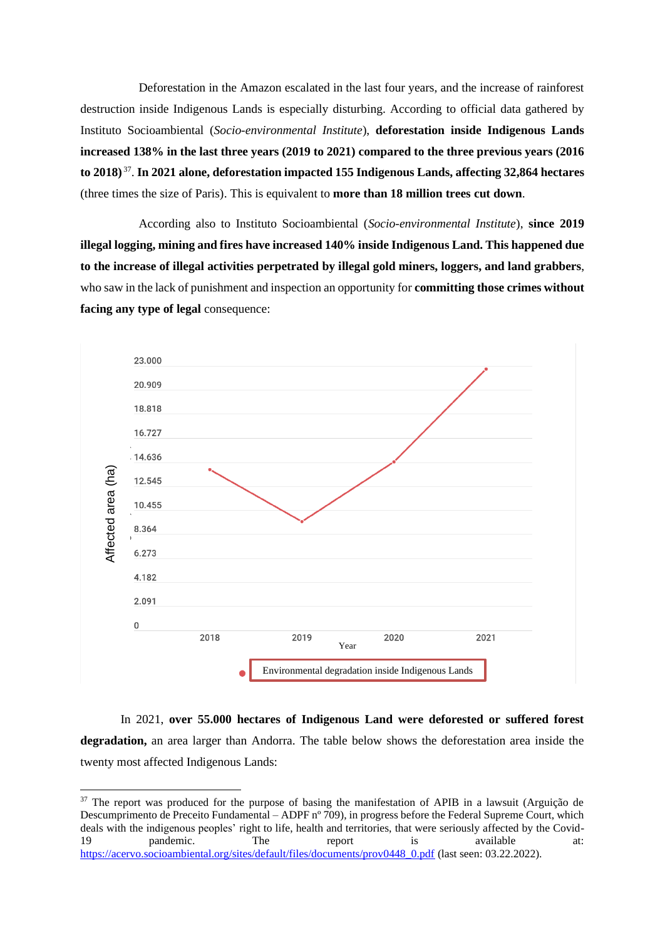Deforestation in the Amazon escalated in the last four years, and the increase of rainforest destruction inside Indigenous Lands is especially disturbing. According to official data gathered by Instituto Socioambiental (*Socio-environmental Institute*), **deforestation inside Indigenous Lands increased 138% in the last three years (2019 to 2021) compared to the three previous years (2016 to 2018)** <sup>37</sup> . **In 2021 alone, deforestation impacted 155 Indigenous Lands, affecting 32,864 hectares**  (three times the size of Paris). This is equivalent to **more than 18 million trees cut down**.

 According also to Instituto Socioambiental (*Socio-environmental Institute*), **since 2019 illegal logging, mining and fires have increased 140% inside Indigenous Land. This happened due to the increase of illegal activities perpetrated by illegal gold miners, loggers, and land grabbers**, who saw in the lack of punishment and inspection an opportunity for **committing those crimes without facing any type of legal** consequence:



In 2021, **over 55.000 hectares of Indigenous Land were deforested or suffered forest degradation,** an area larger than Andorra. The table below shows the deforestation area inside the twenty most affected Indigenous Lands:

<sup>&</sup>lt;sup>37</sup> The report was produced for the purpose of basing the manifestation of APIB in a lawsuit (Arguição de Descumprimento de Preceito Fundamental – ADPF nº 709), in progress before the Federal Supreme Court, which deals with the indigenous peoples' right to life, health and territories, that were seriously affected by the Covid-<br>19 mandemic. The report is available at: 19 **pandemic.** The report is available at: [https://acervo.socioambiental.org/sites/default/files/documents/prov0448\\_0.pdf](https://acervo.socioambiental.org/sites/default/files/documents/prov0448_0.pdf) (last seen: 03.22.2022).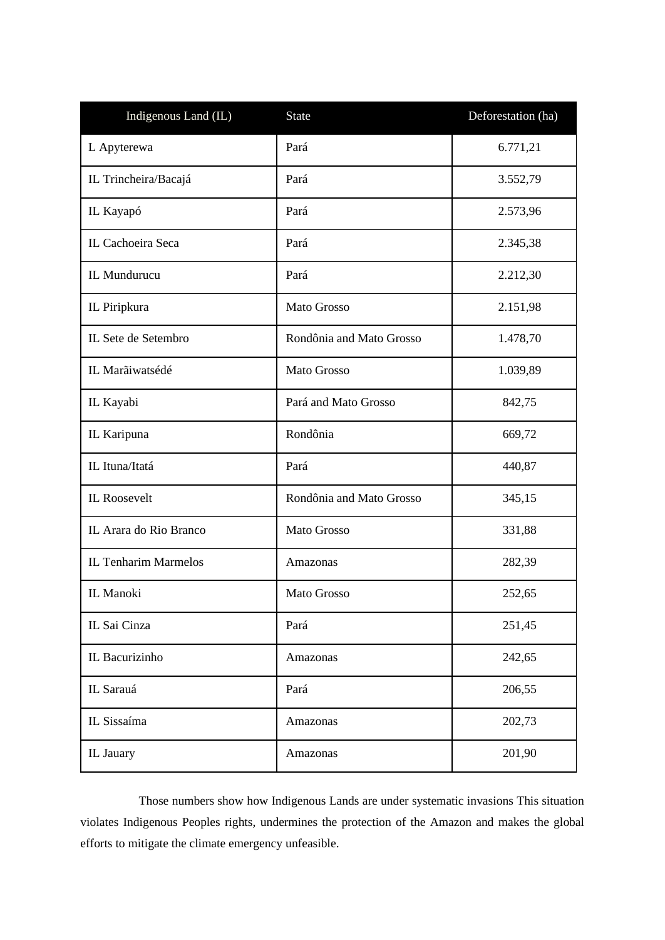| Indigenous Land (IL)        | <b>State</b>             | Deforestation (ha) |
|-----------------------------|--------------------------|--------------------|
| L Apyterewa                 | Pará                     | 6.771,21           |
| IL Trincheira/Bacajá        | Pará                     | 3.552,79           |
| IL Kayapó                   | Pará                     | 2.573,96           |
| IL Cachoeira Seca           | Pará                     | 2.345,38           |
| IL Mundurucu                | Pará                     | 2.212,30           |
| IL Piripkura                | Mato Grosso              | 2.151,98           |
| IL Sete de Setembro         | Rondônia and Mato Grosso | 1.478,70           |
| IL Marãiwatsédé             | <b>Mato Grosso</b>       | 1.039,89           |
| IL Kayabi                   | Pará and Mato Grosso     | 842,75             |
| IL Karipuna                 | Rondônia                 | 669,72             |
| IL Ituna/Itatá              | Pará                     | 440,87             |
| IL Roosevelt                | Rondônia and Mato Grosso | 345,15             |
| IL Arara do Rio Branco      | Mato Grosso              | 331,88             |
| <b>IL Tenharim Marmelos</b> | Amazonas                 | 282,39             |
| IL Manoki                   | Mato Grosso              | 252,65             |
| IL Sai Cinza                | Pará                     | 251,45             |
| IL Bacurizinho              | Amazonas                 | 242,65             |
| IL Sarauá                   | Pará                     | 206,55             |
| IL Sissaíma                 | Amazonas                 | 202,73             |
| IL Jauary                   | Amazonas                 | 201,90             |

 Those numbers show how Indigenous Lands are under systematic invasions This situation violates Indigenous Peoples rights, undermines the protection of the Amazon and makes the global efforts to mitigate the climate emergency unfeasible.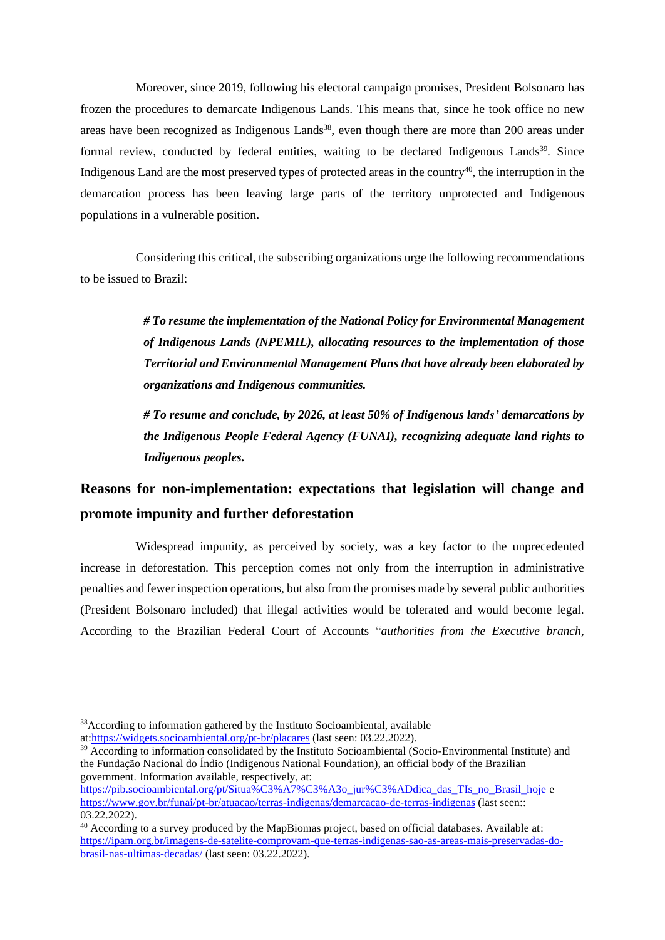Moreover, since 2019, following his electoral campaign promises, President Bolsonaro has frozen the procedures to demarcate Indigenous Lands. This means that, since he took office no new areas have been recognized as Indigenous Lands<sup>38</sup>, even though there are more than 200 areas under formal review, conducted by federal entities, waiting to be declared Indigenous Lands<sup>39</sup>. Since Indigenous Land are the most preserved types of protected areas in the country<sup>40</sup>, the interruption in the demarcation process has been leaving large parts of the territory unprotected and Indigenous populations in a vulnerable position.

 Considering this critical, the subscribing organizations urge the following recommendations to be issued to Brazil:

> *# To resume the implementation of the National Policy for Environmental Management of Indigenous Lands (NPEMIL), allocating resources to the implementation of those Territorial and Environmental Management Plans that have already been elaborated by organizations and Indigenous communities.*

> *# To resume and conclude, by 2026, at least 50% of Indigenous lands' demarcations by the Indigenous People Federal Agency (FUNAI), recognizing adequate land rights to Indigenous peoples.*

# **Reasons for non-implementation: expectations that legislation will change and promote impunity and further deforestation**

 Widespread impunity, as perceived by society, was a key factor to the unprecedented increase in deforestation. This perception comes not only from the interruption in administrative penalties and fewer inspection operations, but also from the promises made by several public authorities (President Bolsonaro included) that illegal activities would be tolerated and would become legal. According to the Brazilian Federal Court of Accounts "*authorities from the Executive branch,* 

<sup>38</sup>According to information gathered by the Instituto Socioambiental, available at[:https://widgets.socioambiental.org/pt-br/placares](https://widgets.socioambiental.org/pt-br/placares) (last seen: 03.22.2022).

<sup>&</sup>lt;sup>39</sup> According to information consolidated by the Instituto Socioambiental (Socio-Environmental Institute) and the Fundação Nacional do Índio (Indigenous National Foundation), an official body of the Brazilian government. Information available, respectively, at:

[https://pib.socioambiental.org/pt/Situa%C3%A7%C3%A3o\\_jur%C3%ADdica\\_das\\_TIs\\_no\\_Brasil\\_hoje](https://pib.socioambiental.org/pt/Situa%C3%A7%C3%A3o_jur%C3%ADdica_das_TIs_no_Brasil_hoje) e <https://www.gov.br/funai/pt-br/atuacao/terras-indigenas/demarcacao-de-terras-indigenas> (last seen:: 03.22.2022).

<sup>40</sup> According to a survey produced by the MapBiomas project, based on official databases. Available at: [https://ipam.org.br/imagens-de-satelite-comprovam-que-terras-indigenas-sao-as-areas-mais-preservadas-do](https://ipam.org.br/imagens-de-satelite-comprovam-que-terras-indigenas-sao-as-areas-mais-preservadas-do-brasil-nas-ultimas-decadas/)[brasil-nas-ultimas-decadas/](https://ipam.org.br/imagens-de-satelite-comprovam-que-terras-indigenas-sao-as-areas-mais-preservadas-do-brasil-nas-ultimas-decadas/) (last seen: 03.22.2022).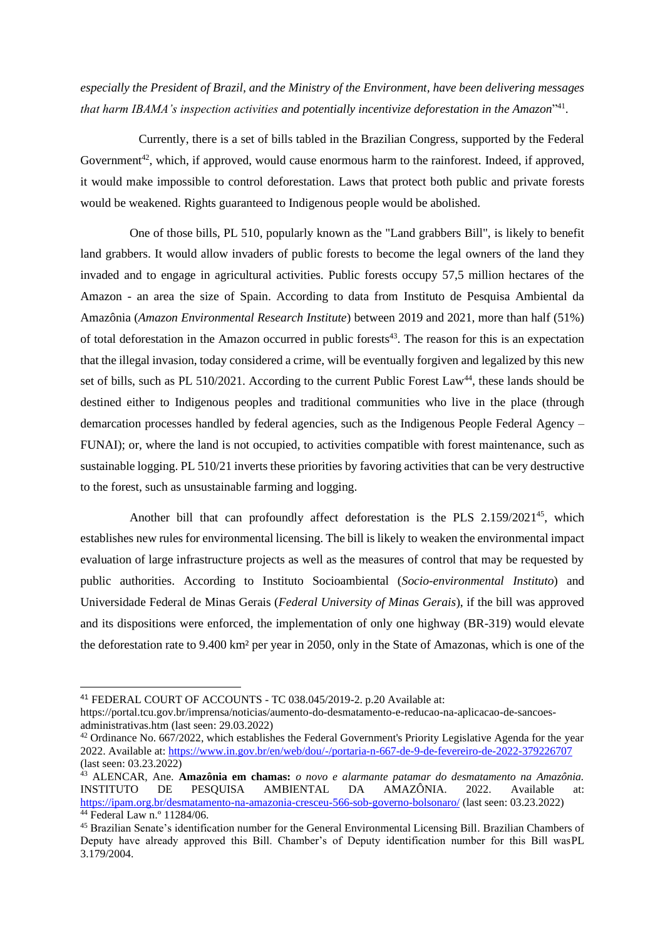*especially the President of Brazil, and the Ministry of the Environment, have been delivering messages that harm IBAMA's inspection activities and potentially incentivize deforestation in the Amazon*" 41 .

 Currently, there is a set of bills tabled in the Brazilian Congress, supported by the Federal Government<sup>42</sup>, which, if approved, would cause enormous harm to the rainforest. Indeed, if approved, it would make impossible to control deforestation. Laws that protect both public and private forests would be weakened. Rights guaranteed to Indigenous people would be abolished.

 One of those bills, PL 510, popularly known as the "Land grabbers Bill", is likely to benefit land grabbers. It would allow invaders of public forests to become the legal owners of the land they invaded and to engage in agricultural activities. Public forests occupy 57,5 million hectares of the Amazon - an area the size of Spain. According to data from Instituto de Pesquisa Ambiental da Amazônia (*Amazon Environmental Research Institute*) between 2019 and 2021, more than half (51%) of total deforestation in the Amazon occurred in public forests<sup>43</sup>. The reason for this is an expectation that the illegal invasion, today considered a crime, will be eventually forgiven and legalized by this new set of bills, such as PL 510/2021. According to the current Public Forest Law<sup>44</sup>, these lands should be destined either to Indigenous peoples and traditional communities who live in the place (through demarcation processes handled by federal agencies, such as the Indigenous People Federal Agency – FUNAI); or, where the land is not occupied, to activities compatible with forest maintenance, such as sustainable logging. PL 510/21 inverts these priorities by favoring activities that can be very destructive to the forest, such as unsustainable farming and logging.

 Another bill that can profoundly affect deforestation is the PLS 2.159/2021 <sup>45</sup>, which establishes new rules for environmental licensing. The bill is likely to weaken the environmental impact evaluation of large infrastructure projects as well as the measures of control that may be requested by public authorities. According to Instituto Socioambiental (*Socio-environmental Instituto*) and Universidade Federal de Minas Gerais (*Federal University of Minas Gerais*), if the bill was approved and its dispositions were enforced, the implementation of only one highway (BR-319) would elevate the deforestation rate to 9.400 km² per year in 2050, only in the State of Amazonas, which is one of the

<sup>41</sup> FEDERAL COURT OF ACCOUNTS - TC 038.045/2019-2. p.20 Available at:

[https://portal.tcu.gov.br/imprensa/noticias/aumento-do-desmatamento-e-reducao-na-aplicacao-de-sancoes](https://portal.tcu.gov.br/imprensa/noticias/aumento-do-desmatamento-e-reducao-na-aplicacao-de-sancoes-administrativas.htm)[administrativas.htm](https://portal.tcu.gov.br/imprensa/noticias/aumento-do-desmatamento-e-reducao-na-aplicacao-de-sancoes-administrativas.htm) (last seen: 29.03.2022)

<sup>&</sup>lt;sup>42</sup> Ordinance No. 667/2022, which establishes the Federal Government's Priority Legislative Agenda for the year 2022. Available at:<https://www.in.gov.br/en/web/dou/-/portaria-n-667-de-9-de-fevereiro-de-2022-379226707> (last seen: 03.23.2022)

<sup>43</sup> ALENCAR, Ane. **Amazônia em chamas:** *o novo e alarmante patamar do desmatamento na Amazônia.*  INSTITUTO DE PESQUISA AMBIENTAL DA AMAZÔNIA. 2022. Available at: <https://ipam.org.br/desmatamento-na-amazonia-cresceu-566-sob-governo-bolsonaro/> (last seen: 03.23.2022) <sup>44</sup> Federal Law n.º 11284/06.

<sup>45</sup> Brazilian Senate's identification number for the General Environmental Licensing Bill. Brazilian Chambers of Deputy have already approved this Bill. Chamber's of Deputy identification number for this Bill wasPL 3.179/2004.